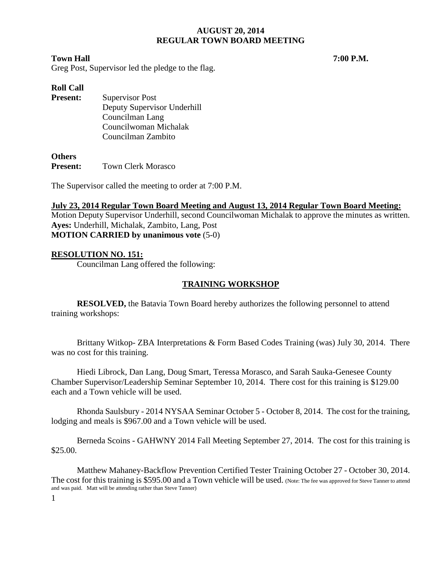#### **Town Hall 7:00 P.M.**

Greg Post, Supervisor led the pledge to the flag.

# **Roll Call**

**Present:** Supervisor Post Deputy Supervisor Underhill Councilman Lang Councilwoman Michalak Councilman Zambito

#### **Others**

**Present:** Town Clerk Morasco

The Supervisor called the meeting to order at 7:00 P.M.

### **July 23, 2014 Regular Town Board Meeting and August 13, 2014 Regular Town Board Meeting:**

Motion Deputy Supervisor Underhill, second Councilwoman Michalak to approve the minutes as written. **Ayes:** Underhill, Michalak, Zambito, Lang, Post **MOTION CARRIED by unanimous vote** (5-0)

### **RESOLUTION NO. 151:**

Councilman Lang offered the following:

# **TRAINING WORKSHOP**

**RESOLVED,** the Batavia Town Board hereby authorizes the following personnel to attend training workshops:

Brittany Witkop- ZBA Interpretations & Form Based Codes Training (was) July 30, 2014. There was no cost for this training.

Hiedi Librock, Dan Lang, Doug Smart, Teressa Morasco, and Sarah Sauka-Genesee County Chamber Supervisor/Leadership Seminar September 10, 2014. There cost for this training is \$129.00 each and a Town vehicle will be used.

Rhonda Saulsbury - 2014 NYSAA Seminar October 5 - October 8, 2014. The cost for the training, lodging and meals is \$967.00 and a Town vehicle will be used.

Berneda Scoins - GAHWNY 2014 Fall Meeting September 27, 2014. The cost for this training is \$25.00.

Matthew Mahaney-Backflow Prevention Certified Tester Training October 27 - October 30, 2014. The cost for this training is \$595.00 and a Town vehicle will be used. (Note: The fee was approved for Steve Tanner to attend and was paid. Matt will be attending rather than Steve Tanner)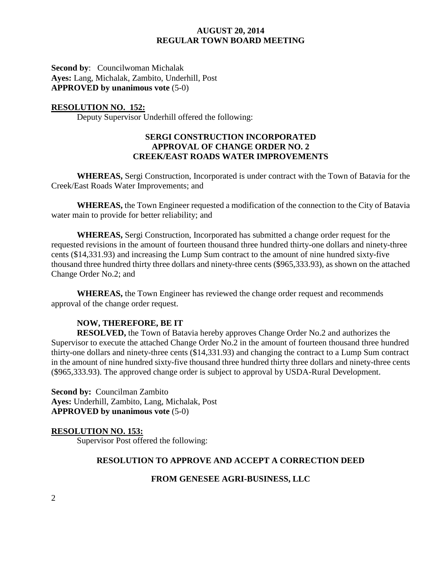**Second by**: Councilwoman Michalak **Ayes:** Lang, Michalak, Zambito, Underhill, Post **APPROVED by unanimous vote** (5-0)

#### **RESOLUTION NO. 152:**

Deputy Supervisor Underhill offered the following:

## **SERGI CONSTRUCTION INCORPORATED APPROVAL OF CHANGE ORDER NO. 2 CREEK/EAST ROADS WATER IMPROVEMENTS**

**WHEREAS,** Sergi Construction, Incorporated is under contract with the Town of Batavia for the Creek/East Roads Water Improvements; and

**WHEREAS,** the Town Engineer requested a modification of the connection to the City of Batavia water main to provide for better reliability; and

**WHEREAS,** Sergi Construction, Incorporated has submitted a change order request for the requested revisions in the amount of fourteen thousand three hundred thirty-one dollars and ninety-three cents (\$14,331.93) and increasing the Lump Sum contract to the amount of nine hundred sixty-five thousand three hundred thirty three dollars and ninety-three cents (\$965,333.93), as shown on the attached Change Order No.2; and

**WHEREAS,** the Town Engineer has reviewed the change order request and recommends approval of the change order request.

#### **NOW, THEREFORE, BE IT**

**RESOLVED,** the Town of Batavia hereby approves Change Order No.2 and authorizes the Supervisor to execute the attached Change Order No.2 in the amount of fourteen thousand three hundred thirty-one dollars and ninety-three cents (\$14,331.93) and changing the contract to a Lump Sum contract in the amount of nine hundred sixty-five thousand three hundred thirty three dollars and ninety-three cents (\$965,333.93). The approved change order is subject to approval by USDA-Rural Development.

**Second by:** Councilman Zambito **Ayes:** Underhill, Zambito, Lang, Michalak, Post **APPROVED by unanimous vote** (5-0)

#### **RESOLUTION NO. 153:**

Supervisor Post offered the following:

#### **RESOLUTION TO APPROVE AND ACCEPT A CORRECTION DEED**

#### **FROM GENESEE AGRI-BUSINESS, LLC**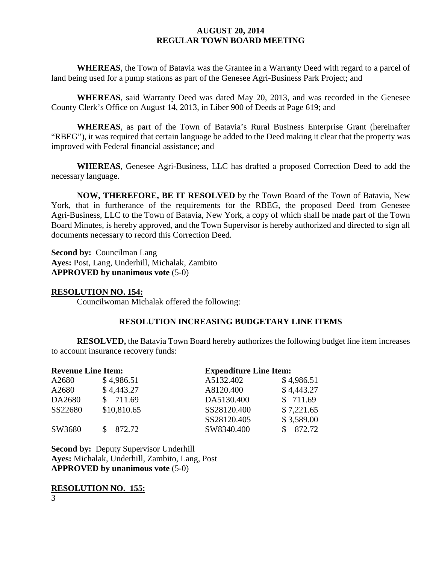**WHEREAS**, the Town of Batavia was the Grantee in a Warranty Deed with regard to a parcel of land being used for a pump stations as part of the Genesee Agri-Business Park Project; and

**WHEREAS**, said Warranty Deed was dated May 20, 2013, and was recorded in the Genesee County Clerk's Office on August 14, 2013, in Liber 900 of Deeds at Page 619; and

**WHEREAS**, as part of the Town of Batavia's Rural Business Enterprise Grant (hereinafter "RBEG"), it was required that certain language be added to the Deed making it clear that the property was improved with Federal financial assistance; and

**WHEREAS**, Genesee Agri-Business, LLC has drafted a proposed Correction Deed to add the necessary language.

**NOW, THEREFORE, BE IT RESOLVED** by the Town Board of the Town of Batavia, New York, that in furtherance of the requirements for the RBEG, the proposed Deed from Genesee Agri-Business, LLC to the Town of Batavia, New York, a copy of which shall be made part of the Town Board Minutes, is hereby approved, and the Town Supervisor is hereby authorized and directed to sign all documents necessary to record this Correction Deed.

**Second by: Councilman Lang Ayes:** Post, Lang, Underhill, Michalak, Zambito **APPROVED by unanimous vote** (5-0)

### **RESOLUTION NO. 154:**

Councilwoman Michalak offered the following:

### **RESOLUTION INCREASING BUDGETARY LINE ITEMS**

**RESOLVED,** the Batavia Town Board hereby authorizes the following budget line item increases to account insurance recovery funds:

| <b>Revenue Line Item:</b> |             | <b>Expenditure Line Item:</b> |            |
|---------------------------|-------------|-------------------------------|------------|
| A2680                     | \$4,986.51  | A5132.402                     | \$4,986.51 |
| A2680                     | \$4,443.27  | A8120.400                     | \$4,443.27 |
| DA2680                    | \$711.69    | DA5130.400                    | \$711.69   |
| SS22680                   | \$10,810.65 | SS28120.400                   | \$7,221.65 |
|                           |             | SS28120.405                   | \$3,589.00 |
| SW3680                    | \$872.72    | SW8340.400                    | 872.72     |

**Second by: Deputy Supervisor Underhill Ayes:** Michalak, Underhill, Zambito, Lang, Post **APPROVED by unanimous vote** (5-0)

3 **RESOLUTION NO. 155:**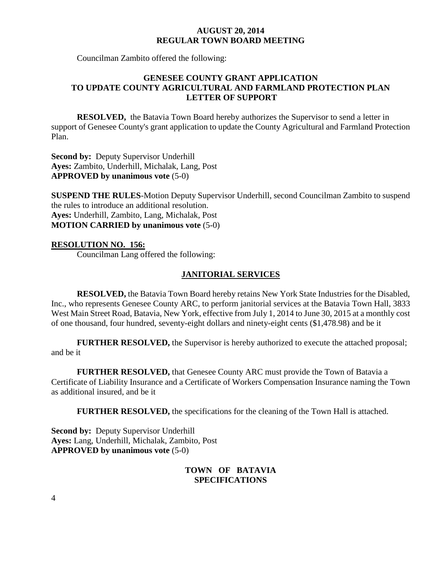Councilman Zambito offered the following:

### **GENESEE COUNTY GRANT APPLICATION TO UPDATE COUNTY AGRICULTURAL AND FARMLAND PROTECTION PLAN LETTER OF SUPPORT**

**RESOLVED,** the Batavia Town Board hereby authorizes the Supervisor to send a letter in support of Genesee County's grant application to update the County Agricultural and Farmland Protection Plan.

**Second by: Deputy Supervisor Underhill Ayes:** Zambito, Underhill, Michalak, Lang, Post **APPROVED by unanimous vote** (5-0)

**SUSPEND THE RULES**-Motion Deputy Supervisor Underhill, second Councilman Zambito to suspend the rules to introduce an additional resolution. **Ayes:** Underhill, Zambito, Lang, Michalak, Post **MOTION CARRIED by unanimous vote** (5-0)

#### **RESOLUTION NO. 156:**

Councilman Lang offered the following:

#### **JANITORIAL SERVICES**

**RESOLVED,** the Batavia Town Board hereby retains New York State Industries for the Disabled, Inc., who represents Genesee County ARC, to perform janitorial services at the Batavia Town Hall, 3833 West Main Street Road, Batavia, New York, effective from July 1, 2014 to June 30, 2015 at a monthly cost of one thousand, four hundred, seventy-eight dollars and ninety-eight cents (\$1,478.98) and be it

**FURTHER RESOLVED,** the Supervisor is hereby authorized to execute the attached proposal; and be it

**FURTHER RESOLVED,** that Genesee County ARC must provide the Town of Batavia a Certificate of Liability Insurance and a Certificate of Workers Compensation Insurance naming the Town as additional insured, and be it

**FURTHER RESOLVED,** the specifications for the cleaning of the Town Hall is attached.

**Second by:** Deputy Supervisor Underhill **Ayes:** Lang, Underhill, Michalak, Zambito, Post **APPROVED by unanimous vote** (5-0)

### **TOWN OF BATAVIA SPECIFICATIONS**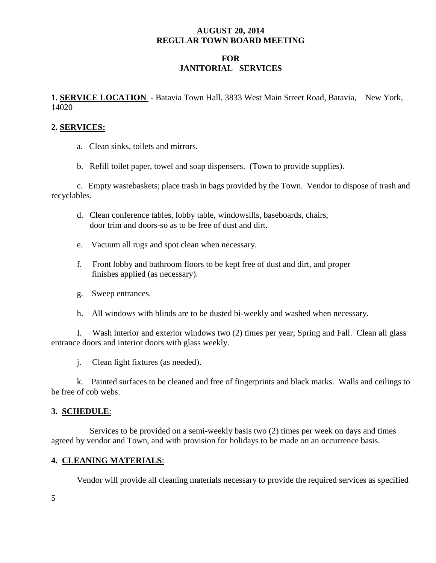# **FOR JANITORIAL SERVICES**

**1. SERVICE LOCATION** - Batavia Town Hall, 3833 West Main Street Road, Batavia, New York, 14020

## **2. SERVICES:**

- a. Clean sinks, toilets and mirrors.
- b. Refill toilet paper, towel and soap dispensers. (Town to provide supplies).

c. Empty wastebaskets; place trash in bags provided by the Town. Vendor to dispose of trash and recyclables.

- d. Clean conference tables, lobby table, windowsills, baseboards, chairs, door trim and doors-so as to be free of dust and dirt.
- e. Vacuum all rugs and spot clean when necessary.
- f. Front lobby and bathroom floors to be kept free of dust and dirt, and proper finishes applied (as necessary).
- g. Sweep entrances.
- h. All windows with blinds are to be dusted bi-weekly and washed when necessary.

I. Wash interior and exterior windows two (2) times per year; Spring and Fall. Clean all glass entrance doors and interior doors with glass weekly.

j. Clean light fixtures (as needed).

k. Painted surfaces to be cleaned and free of fingerprints and black marks. Walls and ceilings to be free of cob webs.

### **3. SCHEDULE**:

 Services to be provided on a semi-weekly basis two (2) times per week on days and times agreed by vendor and Town, and with provision for holidays to be made on an occurrence basis.

### **4. CLEANING MATERIALS**:

Vendor will provide all cleaning materials necessary to provide the required services as specified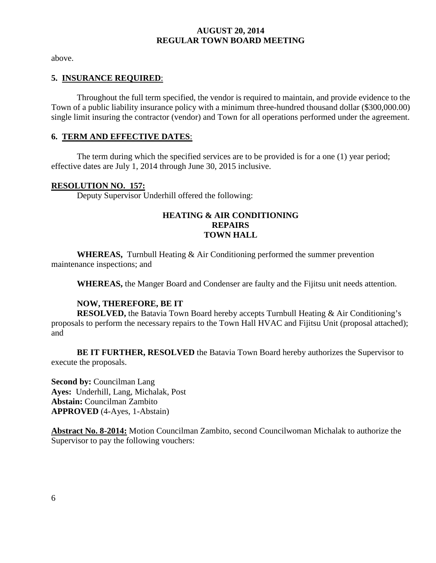above.

## **5. INSURANCE REQUIRED**:

Throughout the full term specified, the vendor is required to maintain, and provide evidence to the Town of a public liability insurance policy with a minimum three-hundred thousand dollar (\$300,000.00) single limit insuring the contractor (vendor) and Town for all operations performed under the agreement.

## **6. TERM AND EFFECTIVE DATES**:

The term during which the specified services are to be provided is for a one (1) year period; effective dates are July 1, 2014 through June 30, 2015 inclusive.

### **RESOLUTION NO. 157:**

Deputy Supervisor Underhill offered the following:

## **HEATING & AIR CONDITIONING REPAIRS TOWN HALL**

**WHEREAS, Turnbull Heating & Air Conditioning performed the summer prevention** maintenance inspections; and

**WHEREAS,** the Manger Board and Condenser are faulty and the Fijitsu unit needs attention.

# **NOW, THEREFORE, BE IT**

**RESOLVED,** the Batavia Town Board hereby accepts Turnbull Heating & Air Conditioning's proposals to perform the necessary repairs to the Town Hall HVAC and Fijitsu Unit (proposal attached); and

**BE IT FURTHER, RESOLVED** the Batavia Town Board hereby authorizes the Supervisor to execute the proposals.

**Second by:** Councilman Lang **Ayes:** Underhill, Lang, Michalak, Post **Abstain:** Councilman Zambito **APPROVED** (4-Ayes, 1-Abstain)

**Abstract No. 8-2014:** Motion Councilman Zambito, second Councilwoman Michalak to authorize the Supervisor to pay the following vouchers: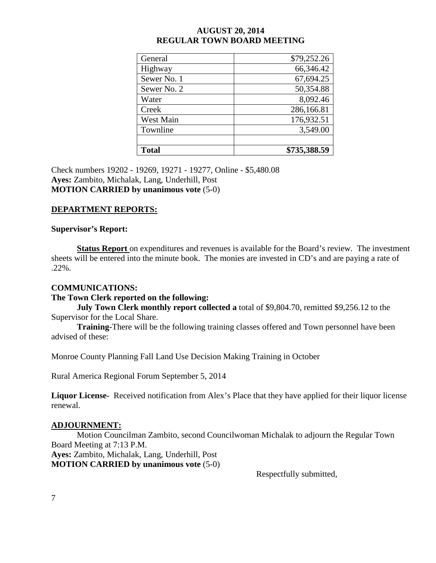| General      | \$79,252.26  |  |
|--------------|--------------|--|
| Highway      | 66,346.42    |  |
| Sewer No. 1  | 67,694.25    |  |
| Sewer No. 2  | 50,354.88    |  |
| Water        | 8,092.46     |  |
| Creek        | 286,166.81   |  |
| West Main    | 176,932.51   |  |
| Townline     | 3,549.00     |  |
|              |              |  |
| <b>Total</b> | \$735,388.59 |  |

Check numbers 19202 - 19269, 19271 - 19277, Online - \$5,480.08 **Ayes:** Zambito, Michalak, Lang, Underhill, Post **MOTION CARRIED by unanimous vote** (5-0)

# **DEPARTMENT REPORTS:**

### **Supervisor's Report:**

**Status Report** on expenditures and revenues is available for the Board's review. The investment sheets will be entered into the minute book. The monies are invested in CD's and are paying a rate of .22%.

# **COMMUNICATIONS:**

### **The Town Clerk reported on the following:**

**July Town Clerk monthly report collected a** total of \$9,804.70, remitted \$9,256.12 to the Supervisor for the Local Share.

**Training-**There will be the following training classes offered and Town personnel have been advised of these:

Monroe County Planning Fall Land Use Decision Making Training in October

Rural America Regional Forum September 5, 2014

**Liquor License-** Received notification from Alex's Place that they have applied for their liquor license renewal.

# **ADJOURNMENT:**

Motion Councilman Zambito, second Councilwoman Michalak to adjourn the Regular Town Board Meeting at 7:13 P.M.

**Ayes:** Zambito, Michalak, Lang, Underhill, Post **MOTION CARRIED by unanimous vote** (5-0)

Respectfully submitted,